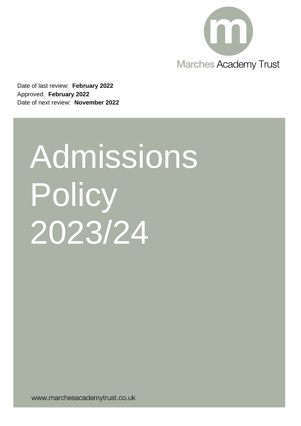

Date of last review: **February 2022** Approved: **February 2022** Date of next review: **November 2022**

# Admissions Policy 2023/24

www.marchesacademytrust.co.uk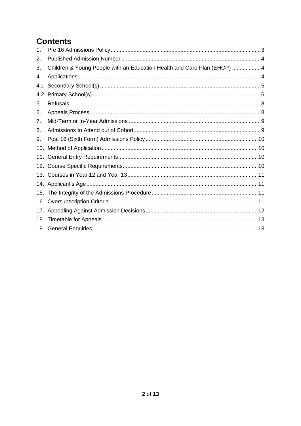# **Contents**

| 1.  |                                                                         |
|-----|-------------------------------------------------------------------------|
| 2.  |                                                                         |
| 3.  | Children & Young People with an Education Health and Care Plan (EHCP) 4 |
| 4.  |                                                                         |
|     |                                                                         |
|     |                                                                         |
| 5.  |                                                                         |
| 6.  |                                                                         |
| 7.  |                                                                         |
| 8.  |                                                                         |
| 9.  |                                                                         |
| 10. |                                                                         |
| 11. |                                                                         |
|     |                                                                         |
|     |                                                                         |
|     |                                                                         |
|     |                                                                         |
| 16. |                                                                         |
| 17. |                                                                         |
|     |                                                                         |
|     |                                                                         |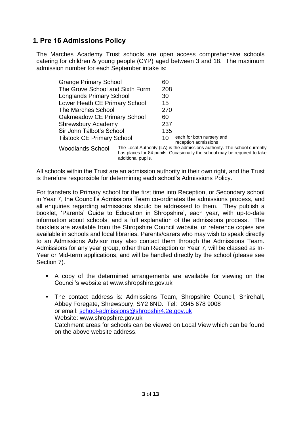# <span id="page-2-0"></span>**1. Pre 16 Admissions Policy**

The Marches Academy Trust schools are open access comprehensive schools catering for children & young people (CYP) aged between 3 and 18. The maximum admission number for each September intake is:

| <b>Grange Primary School</b>      |                                                                                                                                                                               |    |                                                   |
|-----------------------------------|-------------------------------------------------------------------------------------------------------------------------------------------------------------------------------|----|---------------------------------------------------|
| The Grove School and Sixth Form   |                                                                                                                                                                               |    |                                                   |
| <b>Longlands Primary School</b>   |                                                                                                                                                                               |    |                                                   |
| Lower Heath CE Primary School     |                                                                                                                                                                               |    |                                                   |
| The Marches School                |                                                                                                                                                                               |    |                                                   |
| Oakmeadow CE Primary School       |                                                                                                                                                                               |    |                                                   |
| <b>Shrewsbury Academy</b>         |                                                                                                                                                                               |    |                                                   |
| Sir John Talbot's School          |                                                                                                                                                                               |    |                                                   |
| <b>Tilstock CE Primary School</b> |                                                                                                                                                                               | 10 | each for both nursery and<br>reception admissions |
| <b>Woodlands School</b>           | The Local Authority (LA) is the admissions authority. The school currently<br>has places for 84 pupils. Occasionally the school may be required to take<br>additional pupils. |    |                                                   |

All schools within the Trust are an admission authority in their own right, and the Trust is therefore responsible for determining each school's Admissions Policy.

For transfers to Primary school for the first time into Reception, or Secondary school in Year 7, the Council's Admissions Team co-ordinates the admissions process, and all enquiries regarding admissions should be addressed to them. They publish a booklet, 'Parents' Guide to Education in Shropshire', each year, with up-to-date information about schools, and a full explanation of the admissions process. The booklets are available from the Shropshire Council website, or reference copies are available in schools and local libraries. Parents/carers who may wish to speak directly to an Admissions Advisor may also contact them through the Admissions Team. Admissions for any year group, other than Reception or Year 7, will be classed as In-Year or Mid-term applications, and will be handled directly by the school (please see Section 7).

- A copy of the determined arrangements are available for viewing on the Council's website at [www.shropshire.gov.uk](https://webmail.marchesschool.net/owa/redir.aspx?C=353473f92c7047a8ad7bd47ebf3ad110&URL=https%3a%2f%2fwebmail.marchesschool.net%2fowa%2fUrlBlockedError.aspx)
- The contact address is: Admissions Team, Shropshire Council, Shirehall, Abbey Foregate, Shrewsbury, SY2 6ND. Tel: 0345 678 9008 or email: [school-admissions@shropshir4.2e.gov.uk](mailto:school-admissions@shropshir4.2e.gov.uk) Website: [www.shropshire.gov.uk](http://www.shropshire.gov.uk/) Catchment areas for schools can be viewed on Local View which can be found on the above website address.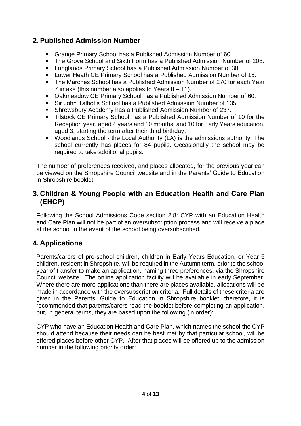# <span id="page-3-0"></span>**2. Published Admission Number**

- Grange Primary School has a Published Admission Number of 60.
- The Grove School and Sixth Form has a Published Admission Number of 208.
- Longlands Primary School has a Published Admission Number of 30.
- Lower Heath CE Primary School has a Published Admission Number of 15.
- The Marches School has a Published Admission Number of 270 for each Year 7 intake (this number also applies to Years 8 – 11).
- Oakmeadow CE Primary School has a Published Admission Number of 60.
- Sir John Talbot's School has a Published Admission Number of 135.
- Shrewsbury Academy has a Published Admission Number of 237.
- **EXE** Tilstock CE Primary School has a Published Admission Number of 10 for the Reception year, aged 4 years and 10 months, and 10 for Early Years education, aged 3, starting the term after their third birthday.
- Woodlands School the Local Authority (LA) is the admissions authority. The school currently has places for 84 pupils. Occasionally the school may be required to take additional pupils.

The number of preferences received, and places allocated, for the previous year can be viewed on the Shropshire Council website and in the Parents' Guide to Education in Shropshire booklet.

# <span id="page-3-1"></span>**3. Children & Young People with an Education Health and Care Plan (EHCP)**

Following the School Admissions Code section 2.8: CYP with an Education Health and Care Plan will not be part of an oversubscription process and will receive a place at the school in the event of the school being oversubscribed.

# <span id="page-3-2"></span>**4. Applications**

Parents/carers of pre-school children, children in Early Years Education, or Year 6 children, resident in Shropshire, will be required in the Autumn term, prior to the school year of transfer to make an application, naming three preferences, via the Shropshire Council website. The online application facility will be available in early September. Where there are more applications than there are places available, allocations will be made in accordance with the oversubscription criteria. Full details of these criteria are given in the Parents' Guide to Education in Shropshire booklet; therefore, it is recommended that parents/carers read the booklet before completing an application, but, in general terms, they are based upon the following (in order):

CYP who have an Education Health and Care Plan, which names the school the CYP should attend because their needs can be best met by that particular school, will be offered places before other CYP. After that places will be offered up to the admission number in the following priority order: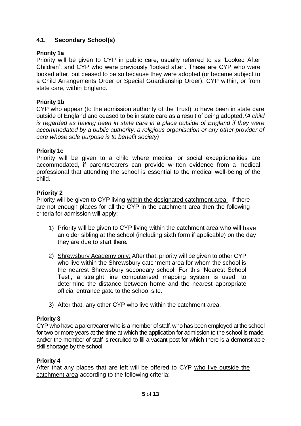## <span id="page-4-0"></span>**4.1. Secondary School(s)**

### **Priority 1a**

Priority will be given to CYP in public care, usually referred to as 'Looked After Children', and CYP who were previously 'looked after'. These are CYP who were looked after, but ceased to be so because they were adopted (or became subject to a Child Arrangements Order or Special Guardianship Order). CYP within, or from state care, within England.

### **Priority 1b**

CYP who appear (to the admission authority of the Trust) to have been in state care outside of England and ceased to be in state care as a result of being adopted. *(A child is regarded as having been in state care in a place outside of England if they were accommodated by a public authority, a religious organisation or any other provider of care whose sole purpose is to benefit society)*

### **Priority 1c**

Priority will be given to a child where medical or social exceptionalities are accommodated, if parents/carers can provide written evidence from a medical professional that attending the school is essential to the medical well-being of the child.

### **Priority 2**

Priority will be given to CYP living within the designated catchment area. If there are not enough places for all the CYP in the catchment area then the following criteria for admission will apply:

- 1) Priority will be given to CYP living within the catchment area who will have an older sibling at the school (including sixth form if applicable) on the day they are due to start there.
- 2) Shrewsbury Academy only: After that, priority will be given to other CYP who live within the Shrewsbury catchment area for whom the school is the nearest Shrewsbury secondary school. For this 'Nearest School Test', a straight line computerised mapping system is used, to determine the distance between home and the nearest appropriate official entrance gate to the school site.
- 3) After that, any other CYP who live within the catchment area.

### **Priority 3**

CYP who have a parent/carer who is a member of staff, who has been employed at the school for two or more years at the time at which the application for admission to the school is made, and/or the member of staff is recruited to fill a vacant post for which there is a demonstrable skill shortage by the school.

### **Priority 4**

After that any places that are left will be offered to CYP who live outside the catchment area according to the following criteria: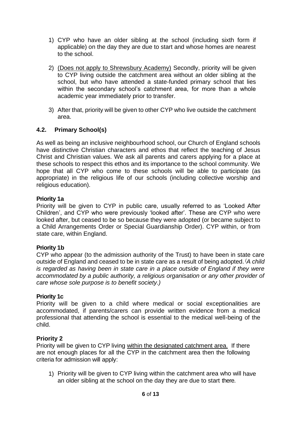- 1) CYP who have an older sibling at the school (including sixth form if applicable) on the day they are due to start and whose homes are nearest to the school.
- 2) (Does not apply to Shrewsbury Academy) Secondly, priority will be given to CYP living outside the catchment area without an older sibling at the school, but who have attended a state-funded primary school that lies within the secondary school's catchment area, for more than a whole academic year immediately prior to transfer.
- 3) After that, priority will be given to other CYP who live outside the catchment area.

## <span id="page-5-0"></span>**4.2. Primary School(s)**

As well as being an inclusive neighbourhood school, our Church of England schools have distinctive Christian characters and ethos that reflect the teaching of Jesus Christ and Christian values. We ask all parents and carers applying for a place at these schools to respect this ethos and its importance to the school community. We hope that all CYP who come to these schools will be able to participate (as appropriate) in the religious life of our schools (including collective worship and religious education).

### **Priority 1a**

Priority will be given to CYP in public care, usually referred to as 'Looked After Children', and CYP who were previously 'looked after'. These are CYP who were looked after, but ceased to be so because they were adopted (or became subject to a Child Arrangements Order or Special Guardianship Order). CYP within, or from state care, within England.

### **Priority 1b**

CYP who appear (to the admission authority of the Trust) to have been in state care outside of England and ceased to be in state care as a result of being adopted. *(A child is regarded as having been in state care in a place outside of England if they were accommodated by a public authority, a religious organisation or any other provider of care whose sole purpose is to benefit society.)*

### **Priority 1c**

Priority will be given to a child where medical or social exceptionalities are accommodated, if parents/carers can provide written evidence from a medical professional that attending the school is essential to the medical well-being of the child.

### **Priority 2**

Priority will be given to CYP living within the designated catchment area. If there are not enough places for all the CYP in the catchment area then the following criteria for admission will apply:

1) Priority will be given to CYP living within the catchment area who will have an older sibling at the school on the day they are due to start there.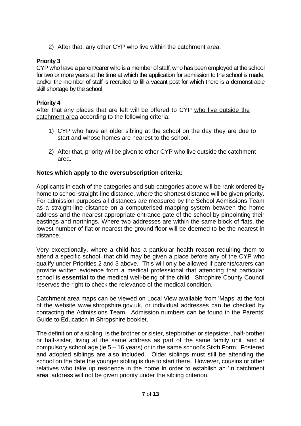2) After that, any other CYP who live within the catchment area.

## **Priority 3**

CYP who have a parent/carer who is a member of staff, who has been employed at the school for two or more years at the time at which the application for admission to the school is made, and/or the member of staff is recruited to fill a vacant post for which there is a demonstrable skill shortage by the school.

### **Priority 4**

After that any places that are left will be offered to CYP who live outside the catchment area according to the following criteria:

- 1) CYP who have an older sibling at the school on the day they are due to start and whose homes are nearest to the school.
- 2) After that, priority will be given to other CYP who live outside the catchment area.

### **Notes which apply to the oversubscription criteria:**

Applicants in each of the categories and sub-categories above will be rank ordered by home to school straight-line distance, where the shortest distance will be given priority. For admission purposes all distances are measured by the School Admissions Team as a straight-line distance on a computerised mapping system between the home address and the nearest appropriate entrance gate of the school by pinpointing their eastings and northings. Where two addresses are within the same block of flats, the lowest number of flat or nearest the ground floor will be deemed to be the nearest in distance.

Very exceptionally, where a child has a particular health reason requiring them to attend a specific school, that child may be given a place before any of the CYP who qualify under Priorities 2 and 3 above. This will only be allowed if parents/carers can provide written evidence from a medical professional that attending that particular school is **essential** to the medical well-being of the child. Shrophire County Council reserves the right to check the relevance of the medical condition.

Catchment area maps can be viewed on Local View available from 'Maps' at the foot of the website www.shropshire.gov.uk, or individual addresses can be checked by contacting the Admissions Team. Admission numbers can be found in the Parents' Guide to Education in Shropshire booklet.

The definition of a sibling, is the brother or sister, stepbrother or stepsister, half-brother or half-sister, living at the same address as part of the same family unit, and of compulsory school age (ie 5 – 16 years) or in the same school's Sixth Form. Fostered and adopted siblings are also included. Older siblings must still be attending the school on the date the younger sibling is due to start there. However, cousins or other relatives who take up residence in the home in order to establish an 'in catchment area' address will not be given priority under the sibling criterion.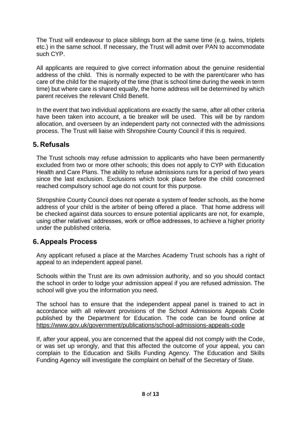The Trust will endeavour to place siblings born at the same time (e.g. twins, triplets etc.) in the same school. If necessary, the Trust will admit over PAN to accommodate such CYP.

All applicants are required to give correct information about the genuine residential address of the child. This is normally expected to be with the parent/carer who has care of the child for the majority of the time (that is school time during the week in term time) but where care is shared equally, the home address will be determined by which parent receives the relevant Child Benefit.

In the event that two individual applications are exactly the same, after all other criteria have been taken into account, a tie breaker will be used. This will be by random allocation, and overseen by an independent party not connected with the admissions process. The Trust will liaise with Shropshire County Council if this is required.

# <span id="page-7-0"></span>**5. Refusals**

The Trust schools may refuse admission to applicants who have been permanently excluded from two or more other schools; this does not apply to CYP with Education Health and Care Plans. The ability to refuse admissions runs for a period of two years since the last exclusion. Exclusions which took place before the child concerned reached compulsory school age do not count for this purpose.

Shropshire County Council does not operate a system of feeder schools, as the home address of your child is the arbiter of being offered a place. That home address will be checked against data sources to ensure potential applicants are not, for example, using other relatives' addresses, work or office addresses, to achieve a higher priority under the published criteria.

# <span id="page-7-1"></span>**6. Appeals Process**

Any applicant refused a place at the Marches Academy Trust schools has a right of appeal to an independent appeal panel.

Schools within the Trust are its own admission authority, and so you should contact the school in order to lodge your admission appeal if you are refused admission. The school will give you the information you need.

The school has to ensure that the independent appeal panel is trained to act in accordance with all relevant provisions of the School Admissions Appeals Code published by the Department for Education. The code can be found online at <https://www.gov.uk/government/publications/school-admissions-appeals-code>

If, after your appeal, you are concerned that the appeal did not comply with the Code, or was set up wrongly, and that this affected the outcome of your appeal, you can complain to the Education and Skills Funding Agency. The Education and Skills Funding Agency will investigate the complaint on behalf of the Secretary of State.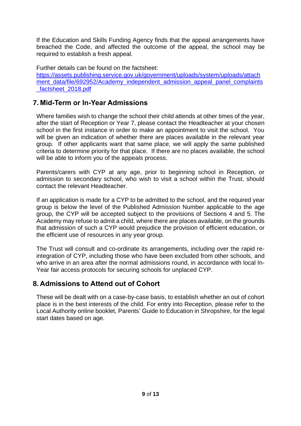If the Education and Skills Funding Agency finds that the appeal arrangements have breached the Code, and affected the outcome of the appeal, the school may be required to establish a fresh appeal.

Further details can be found on the factsheet: [https://assets.publishing.service.gov.uk/government/uploads/system/uploads/attach](https://assets.publishing.service.gov.uk/government/uploads/system/uploads/attachment_data/file/692952/Academy_independent_admission_appeal_panel_complaints_factsheet_2018.pdf) [ment\\_data/file/692952/Academy\\_independent\\_admission\\_appeal\\_panel\\_complaints](https://assets.publishing.service.gov.uk/government/uploads/system/uploads/attachment_data/file/692952/Academy_independent_admission_appeal_panel_complaints_factsheet_2018.pdf) [\\_factsheet\\_2018.pdf](https://assets.publishing.service.gov.uk/government/uploads/system/uploads/attachment_data/file/692952/Academy_independent_admission_appeal_panel_complaints_factsheet_2018.pdf)

# <span id="page-8-0"></span>**7. Mid-Term or In-Year Admissions**

Where families wish to change the school their child attends at other times of the year, after the start of Reception or Year 7, please contact the Headteacher at your chosen school in the first instance in order to make an appointment to visit the school. You will be given an indication of whether there are places available in the relevant year group. If other applicants want that same place, we will apply the same published criteria to determine priority for that place. If there are no places available, the school will be able to inform you of the appeals process.

Parents/carers with CYP at any age, prior to beginning school in Reception, or admission to secondary school, who wish to visit a school within the Trust, should contact the relevant Headteacher.

If an application is made for a CYP to be admitted to the school, and the required year group is below the level of the Published Admission Number applicable to the age group, the CYP will be accepted subject to the provisions of Sections 4 and 5. The Academy may refuse to admit a child, where there are places available, on the grounds that admission of such a CYP would prejudice the provision of efficient education, or the efficient use of resources in any year group.

The Trust will consult and co-ordinate its arrangements, including over the rapid reintegration of CYP, including those who have been excluded from other schools, and who arrive in an area after the normal admissions round, in accordance with local In-Year fair access protocols for securing schools for unplaced CYP.

# <span id="page-8-1"></span>**8. Admissions to Attend out of Cohort**

These will be dealt with on a case-by-case basis, to establish whether an out of cohort place is in the best interests of the child. For entry into Reception, please refer to the Local Authority online booklet, Parents' Guide to Education in Shropshire, for the legal start dates based on age.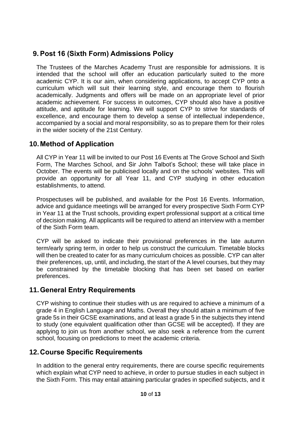# <span id="page-9-0"></span>**9. Post 16 (Sixth Form) Admissions Policy**

The Trustees of the Marches Academy Trust are responsible for admissions. It is intended that the school will offer an education particularly suited to the more academic CYP. It is our aim, when considering applications, to accept CYP onto a curriculum which will suit their learning style, and encourage them to flourish academically. Judgments and offers will be made on an appropriate level of prior academic achievement. For success in outcomes, CYP should also have a positive attitude, and aptitude for learning. We will support CYP to strive for standards of excellence, and encourage them to develop a sense of intellectual independence, accompanied by a social and moral responsibility, so as to prepare them for their roles in the wider society of the 21st Century.

# <span id="page-9-1"></span>**10.Method of Application**

All CYP in Year 11 will be invited to our Post 16 Events at The Grove School and Sixth Form, The Marches School, and Sir John Talbot's School; these will take place in October. The events will be publicised locally and on the schools' websites. This will provide an opportunity for all Year 11, and CYP studying in other education establishments, to attend.

Prospectuses will be published, and available for the Post 16 Events. Information, advice and guidance meetings will be arranged for every prospective Sixth Form CYP in Year 11 at the Trust schools, providing expert professional support at a critical time of decision making. All applicants will be required to attend an interview with a member of the Sixth Form team.

CYP will be asked to indicate their provisional preferences in the late autumn term/early spring term, in order to help us construct the curriculum. Timetable blocks will then be created to cater for as many curriculum choices as possible. CYP can alter their preferences, up, until, and including, the start of the A level courses, but they may be constrained by the timetable blocking that has been set based on earlier preferences.

# <span id="page-9-2"></span>**11.General Entry Requirements**

CYP wishing to continue their studies with us are required to achieve a minimum of a grade 4 in English Language and Maths. Overall they should attain a minimum of five grade 5s in their GCSE examinations, and at least a grade 5 in the subjects they intend to study (one equivalent qualification other than GCSE will be accepted). If they are applying to join us from another school, we also seek a reference from the current school, focusing on predictions to meet the academic criteria.

# <span id="page-9-3"></span>**12.Course Specific Requirements**

In addition to the general entry requirements, there are course specific requirements which explain what CYP need to achieve, in order to pursue studies in each subject in the Sixth Form. This may entail attaining particular grades in specified subjects, and it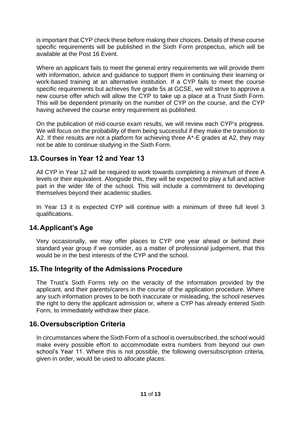is important that CYP check these before making their choices. Details of these course specific requirements will be published in the Sixth Form prospectus, which will be available at the Post 16 Event.

Where an applicant fails to meet the general entry requirements we will provide them with information, advice and guidance to support them in continuing their learning or work-based training at an alternative institution. If a CYP fails to meet the course specific requirements but achieves five grade 5s at GCSE, we will strive to approve a new course offer which will allow the CYP to take up a place at a Trust Sixth Form. This will be dependent primarily on the number of CYP on the course, and the CYP having achieved the course entry requirement as published.

On the publication of mid-course exam results, we will review each CYP's progress. We will focus on the probability of them being successful if they make the transition to A2. If their results are not a platform for achieving three  $A^*$ -E grades at A2, they may not be able to continue studying in the Sixth Form.

# <span id="page-10-0"></span>**13.Courses in Year 12 and Year 13**

All CYP in Year 12 will be required to work towards completing a minimum of three A levels or their equivalent. Alongside this, they will be expected to play a full and active part in the wider life of the school. This will include a commitment to developing themselves beyond their academic studies.

In Year 13 it is expected CYP will continue with a minimum of three full level 3 qualifications.

# <span id="page-10-1"></span>**14.Applicant's Age**

Very occasionally, we may offer places to CYP one year ahead or behind their standard year group if we consider, as a matter of professional judgement, that this would be in the best interests of the CYP and the school.

# <span id="page-10-2"></span>**15.The Integrity of the Admissions Procedure**

The Trust's Sixth Forms rely on the veracity of the information provided by the applicant, and their parents/carers in the course of the application procedure. Where any such information proves to be both inaccurate or misleading, the school reserves the right to deny the applicant admission or, where a CYP has already entered Sixth Form, to immediately withdraw their place.

# <span id="page-10-3"></span>**16.Oversubscription Criteria**

In circumstances where the Sixth Form of a school is oversubscribed, the school would make every possible effort to accommodate extra numbers from beyond our own school's Year 11. Where this is not possible, the following oversubscription criteria, given in order, would be used to allocate places: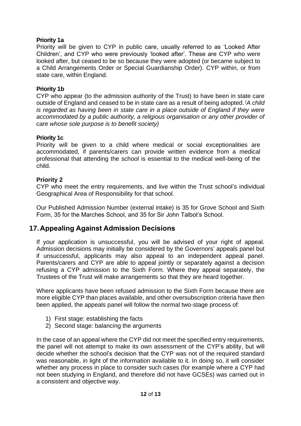### **Priority 1a**

Priority will be given to CYP in public care, usually referred to as 'Looked After Children', and CYP who were previously 'looked after'. These are CYP who were looked after, but ceased to be so because they were adopted (or became subject to a Child Arrangements Order or Special Guardianship Order). CYP within, or from state care, within England.

### **Priority 1b**

CYP who appear (to the admission authority of the Trust) to have been in state care outside of England and ceased to be in state care as a result of being adopted. *(A child is regarded as having been in state care in a place outside of England if they were accommodated by a public authority, a religious organisation or any other provider of care whose sole purpose is to benefit society)*

### **Priority 1c**

Priority will be given to a child where medical or social exceptionalities are accommodated, if parents/carers can provide written evidence from a medical professional that attending the school is essential to the medical well-being of the child.

### **Priority 2**

CYP who meet the entry requirements, and live within the Trust school's individual Geographical Area of Responsibility for that school.

Our Published Admission Number (external intake) is 35 for Grove School and Sixth Form, 35 for the Marches School, and 35 for Sir John Talbot's School.

# <span id="page-11-0"></span>**17.Appealing Against Admission Decisions**

If your application is unsuccessful, you will be advised of your right of appeal. Admission decisions may initially be considered by the Governors' appeals panel but if unsuccessful, applicants may also appeal to an independent appeal panel. Parents/carers and CYP are able to appeal jointly or separately against a decision refusing a CYP admission to the Sixth Form. Where they appeal separately, the Trustees of the Trust will make arrangements so that they are heard together.

Where applicants have been refused admission to the Sixth Form because there are more eligible CYP than places available, and other oversubscription criteria have then been applied, the appeals panel will follow the normal two-stage process of:

- 1) First stage: establishing the facts
- 2) Second stage: balancing the arguments

In the case of an appeal where the CYP did not meet the specified entry requirements, the panel will not attempt to make its own assessment of the CYP's ability, but will decide whether the school's decision that the CYP was not of the required standard was reasonable, in light of the information available to it. In doing so, it will consider whether any process in place to consider such cases (for example where a CYP had not been studying in England, and therefore did not have GCSEs) was carried out in a consistent and objective way.